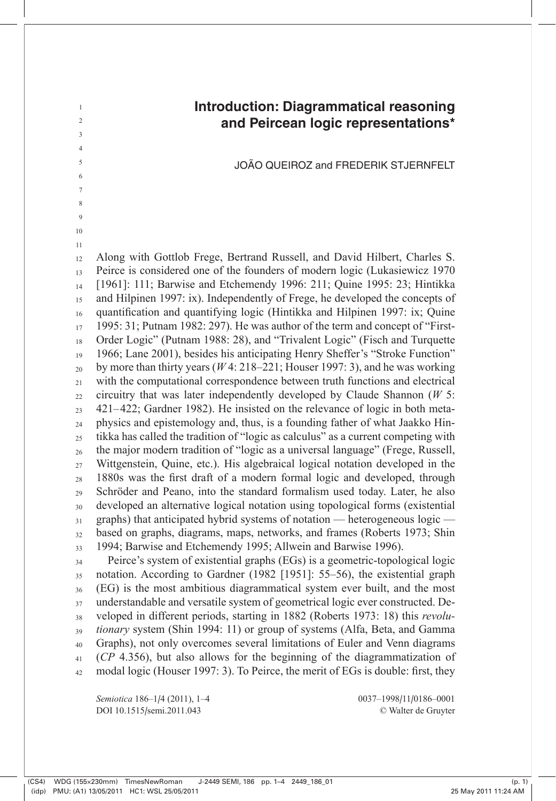# **Introduction: Diagrammatical reasoning and Peircean logic representations\***

JOÃO QUEIROZ and FREDERIK STJERNFELT

Along with Gottlob Frege, Bertrand Russell, and David Hilbert, Charles S. Peirce is considered one of the founders of modern logic (Lukasiewicz 1970 [1961]: 111; Barwise and Etchemendy 1996: 211; Quine 1995: 23; Hintikka and Hilpinen 1997: ix). Independently of Frege, he developed the concepts of quantification and quantifying logic (Hintikka and Hilpinen 1997: ix; Quine 1995: 31; Putnam 1982: 297). He was author of the term and concept of "First-Order Logic" (Putnam 1988: 28), and "Trivalent Logic" (Fisch and Turquette 1966; Lane 2001), besides his anticipating Henry Sheffer's "Stroke Function" by more than thirty years (*W* 4: 218–221; Houser 1997: 3), and he was working with the computational correspondence between truth functions and electrical circuitry that was later independently developed by Claude Shannon (*W* 5: 421– 422; Gardner 1982). He insisted on the relevance of logic in both metaphysics and epistemology and, thus, is a founding father of what Jaakko Hintikka has called the tradition of "logic as calculus" as a current competing with the major modern tradition of "logic as a universal language" (Frege, Russell, Wittgenstein, Quine, etc.). His algebraical logical notation developed in the 1880s was the first draft of a modern formal logic and developed, through Schröder and Peano, into the standard formalism used today. Later, he also developed an alternative logical notation using topological forms (existential graphs) that anticipated hybrid systems of notation — heterogeneous logic based on graphs, diagrams, maps, networks, and frames (Roberts 1973; Shin 1994; Barwise and Etchemendy 1995; Allwein and Barwise 1996). 12 13 14 15 16 17 18 19 20 21  $22$ 23 24 25  $26$  $27$  $28$  $29$ 30 31 32 33

Peirce's system of existential graphs (EGs) is a geometric-topological logic notation. According to Gardner (1982 [1951]: 55–56), the existential graph (EG) is the most ambitious diagrammatical system ever built, and the most understandable and versatile system of geometrical logic ever constructed. Developed in different periods, starting in 1882 (Roberts 1973: 18) this *revolutionary* system (Shin 1994: 11) or group of systems (Alfa, Beta, and Gamma Graphs), not only overcomes several limitations of Euler and Venn diagrams (*CP* 4.356), but also allows for the beginning of the diagrammatization of modal logic (Houser 1997: 3). To Peirce, the merit of EGs is double: first, they 34 35 36 37 38 39 40 41 42

*Semiotica* 186–1/4 (2011), 1–4 0037–1998/11/0186–0001 DOI 10.1515/semi.2011.043 © Walter de Gruyter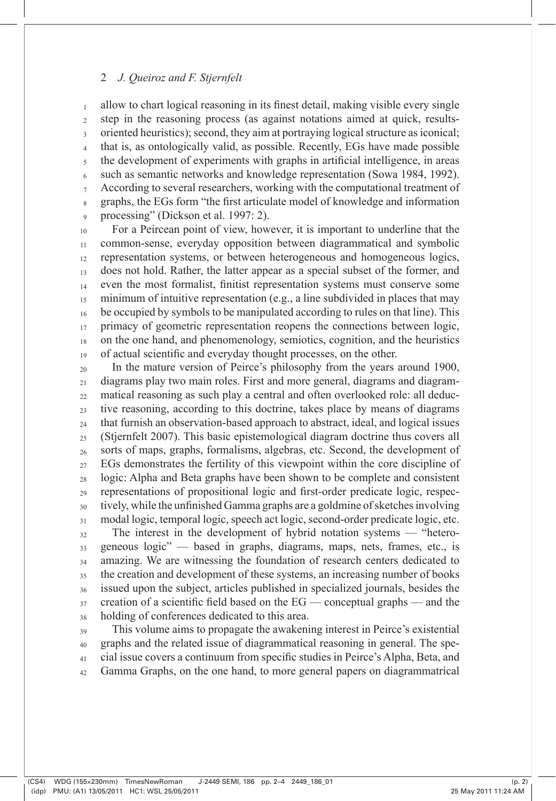## 2 *J. Queiroz and F. Stjernfelt*

allow to chart logical reasoning in its finest detail, making visible every single step in the reasoning process (as against notations aimed at quick, resultsoriented heuristics); second, they aim at portraying logical structure as iconical; that is, as ontologically valid, as possible. Recently, EGs have made possible the development of experiments with graphs in artificial intelligence, in areas such as semantic networks and knowledge representation (Sowa 1984, 1992). According to several researchers, working with the computational treatment of graphs, the EGs form "the first articulate model of knowledge and information processing" (Dickson et al. 1997: 2). 1 2 3 4 5 6 7 8  $\overline{Q}$ 

For a Peircean point of view, however, it is important to underline that the common-sense, everyday opposition between diagrammatical and symbolic representation systems, or between heterogeneous and homogeneous logics, does not hold. Rather, the latter appear as a special subset of the former, and even the most formalist, finitist representation systems must conserve some minimum of intuitive representation (e.g., a line subdivided in places that may be occupied by symbols to be manipulated according to rules on that line). This primacy of geometric representation reopens the connections between logic, on the one hand, and phenomenology, semiotics, cognition, and the heuristics of actual scientific and everyday thought processes, on the other. 10 11 12 13 14 15 16 17 18 19

In the mature version of Peirce's philosophy from the years around 1900, diagrams play two main roles. First and more general, diagrams and diagrammatical reasoning as such play a central and often overlooked role: all deductive reasoning, according to this doctrine, takes place by means of diagrams that furnish an observation-based approach to abstract, ideal, and logical issues (Stjernfelt 2007). This basic epistemological diagram doctrine thus covers all sorts of maps, graphs, formalisms, algebras, etc. Second, the development of EGs demonstrates the fertility of this viewpoint within the core discipline of logic: Alpha and Beta graphs have been shown to be complete and consistent representations of propositional logic and first-order predicate logic, respectively, while the unfinished Gamma graphs are a goldmine of sketches involving modal logic, temporal logic, speech act logic, second-order predicate logic, etc. The interest in the development of hybrid notation systems — "heterogeneous logic" — based in graphs, diagrams, maps, nets, frames, etc., is amazing. We are witnessing the foundation of research centers dedicated to the creation and development of these systems, an increasing number of books issued upon the subject, articles published in specialized journals, besides the creation of a scientific field based on the EG — conceptual graphs — and the holding of conferences dedicated to this area.  $20$  $21$  $22$ 23 24 25  $26$  $27$  $28$ 29 30 31 32 33 34 35 36 37 38

This volume aims to propagate the awakening interest in Peirce's existential graphs and the related issue of diagrammatical reasoning in general. The special issue covers a continuum from specific studies in Peirce's Alpha, Beta, and Gamma Graphs, on the one hand, to more general papers on diagrammatrical 39 40 41 42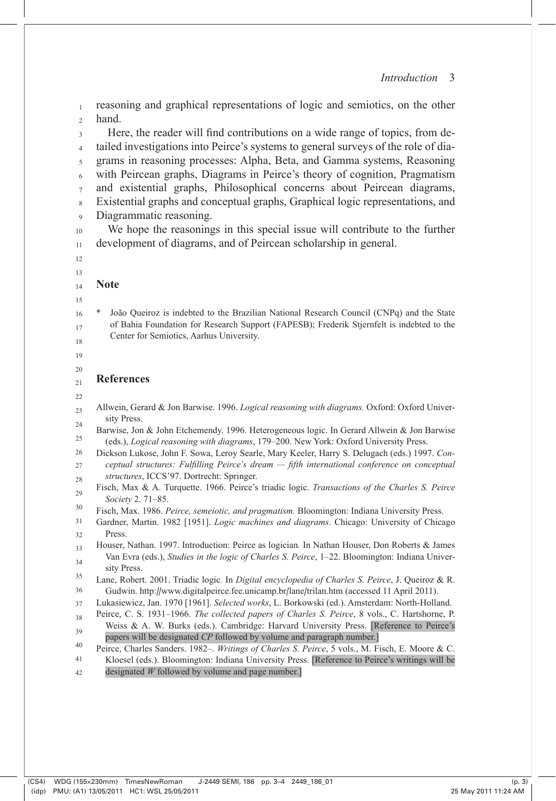reasoning and graphical representations of logic and semiotics, on the other hand. 1  $\overline{2}$ 

Here, the reader will find contributions on a wide range of topics, from detailed investigations into Peirce's systems to general surveys of the role of diagrams in reasoning processes: Alpha, Beta, and Gamma systems, Reasoning with Peircean graphs, Diagrams in Peirce's theory of cognition, Pragmatism and existential graphs, Philosophical concerns about Peircean diagrams, Existential graphs and conceptual graphs, Graphical logic representations, and Diagrammatic reasoning. 3 4 5 6 7 8 9

We hope the reasonings in this special issue will contribute to the further development of diagrams, and of Peircean scholarship in general.  $10$ 11

- 12
- 13

#### **Note** 14

- 15
- João Queiroz is indebted to the Brazilian National Research Council (CNPq) and the State of Bahia Foundation for Research Support (FAPESB); Frederik Stjernfelt is indebted to the Center for Semiotics, Aarhus University. 16 17 18
- 19 20

### **References** 21

- $22$
- Allwein, Gerard & Jon Barwise. 1996. *Logical reasoning with diagrams.* Oxford: Oxford University Press. 23 24
- Barwise, Jon & John Etchemendy. 1996. Heterogeneous logic. In Gerard Allwein & Jon Barwise (eds.), *Logical reasoning with diagrams*, 179–200. New York: Oxford University Press. 25
- Dickson Lukose, John F. Sowa, Leroy Searle, Mary Keeler, Harry S. Delugach (eds.) 1997. *Conceptual structures: Fulfilling Peirce's dream — fifth international conference on conceptual*  26  $27$
- *structures*, ICCS'97. Dortrecht: Springer.  $28$
- Fisch, Max & A. Turquette. 1966. Peirce's triadic logic. *Transactions of the Charles S. Peirce Society* 2. 71–85.  $29$
- Fisch, Max. 1986. *Peirce, semeiotic, and pragmatism.* Bloomington: Indiana University Press. 30
- Gardner, Martin. 1982 [1951]. *Logic machines and diagrams*. Chicago: University of Chicago Press. 31 32
- Houser, Nathan. 1997. Introduction: Peirce as logician*.* In Nathan Houser, Don Roberts & James Van Evra (eds.), *Studies in the logic of Charles S. Peirce*, 1–22. Bloomington: Indiana University Press. 33 34
- Lane, Robert. 2001. Triadic logic*.* In *Digital encyclopedia of Charles S. Peirce*, J. Queiroz & R. Gudwin. http://www.digitalpeirce.fee.unicamp.br/lane/trilan.htm (accessed 11 April 2011). 35 36
- Lukasiewicz, Jan. 1970 [1961]. *Selected works*, L. Borkowski (ed.). Amsterdam: North-Holland. 37
- Peirce, C. S. 1931–1966. *The collected papers of Charles S. Peirce*, 8 vols., C. Hartshorne, P. Weiss & A. W. Burks (eds.). Cambridge: Harvard University Press. [Reference to Peirce's papers will be designated *CP* followed by volume and paragraph number.] 38 39

### Peirce, Charles Sanders. 1982–. *Writings of Charles S. Peirce*, 5 vols., M. Fisch, E. Moore & C. Kloesel (eds.). Bloomington: Indiana University Press. [Reference to Peirce's writings will be 40 41

designated *W* followed by volume and page number.] 42